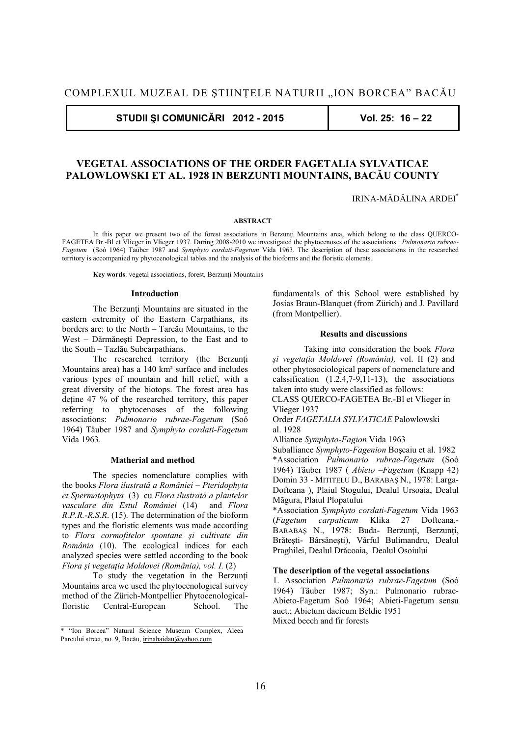**STUDII ŞI COMUNICĂRI 2012 - 2015 Vol. 25: 16 – 22** 

# **VEGETAL ASSOCIATIONS OF THE ORDER FAGETALIA SYLVATICAE PALOWLOWSKI ET AL. 1928 IN BERZUNTI MOUNTAINS, BACĂU COUNTY**

IRINA-MĂDĂLINA ARDEI**\***

#### **ABSTRACT**

In this paper we present two of the forest associations in Berzunti Mountains area, which belong to the class OUERCO-FAGETEA Br.-Bl et Vlieger in Vlieger 1937. During 2008-2010 we investigated the phytocenoses of the associations : *Pulmonario rubrae-Fagetum* (Soó 1964) Taüber 1987 and *Symphyto cordati-Fagetum* Vida 1963. The description of these associations in the researched territory is accompanied ny phytocenological tables and the analysis of the bioforms and the floristic elements.

 **Key words**: vegetal associations, forest, Berzunţi Mountains

#### **Introduction**

The Berzunti Mountains are situated in the eastern extremity of the Eastern Carpathians, its borders are: to the North – Tarcău Mountains, to the West – Dărmăneşti Depression, to the East and to the South – Tazlău Subcarpathians.

The researched territory (the Berzunți Mountains area) has a 140 km² surface and includes various types of mountain and hill relief, with a great diversity of the biotops. The forest area has detine 47 % of the researched territory, this paper referring to phytocenoses of the following associations: *Pulmonario rubrae-Fagetum* (Soó 1964) Täuber 1987 and *Symphyto cordati-Fagetum* Vida 1963.

## **Matherial and method**

 The species nomenclature complies with the books *Flora ilustrată a României – Pteridophyta et Spermatophyta* (3) cu *Flora ilustrată a plantelor vasculare din Estul României* (14) and *Flora R.P.R.-R.S.R*. (15). The determination of the bioform types and the floristic elements was made according to *Flora cormofitelor spontane şi cultivate din România* (10). The ecological indices for each analyzed species were settled according to the book *Flora şi vegetaţia Moldovei (România), vol. I.* (2)

 To study the vegetation in the Berzunţi Mountains area we used the phytocenological survey method of the Zürich-Montpellier Phytocenologicalfloristic Central-European School. The fundamentals of this School were established by Josias Braun-Blanquet (from Zürich) and J. Pavillard (from Montpellier).

#### **Results and discussions**

 Taking into consideration the book *Flora şi vegetaţia Moldovei (România),* vol. II (2) and other phytosociological papers of nomenclature and calssification  $(1.2.4.7-9.11-13)$ , the associations taken into study were classified as follows:

 CLASS QUERCO-FAGETEA Br.-Bl et Vlieger in Vlieger 1937

Order *FAGETALIA SYLVATICAE* Palowlowski al. 1928

Alliance *Symphyto-Fagion* Vida 1963

Suballiance *Symphyto-Fagenion* Boşcaiu et al. 1982 \*Association *Pulmonario rubrae-Fagetum* (Soó 1964) Täuber 1987 ( *Abieto –Fagetum* (Knapp 42) Domin 33 - MITITELU D., BARABAŞ N., 1978: Larga-Dofteana ), Plaiul Stogului, Dealul Ursoaia, Dealul Măgura, Plaiul Plopatului

\*Association *Symphyto cordati-Fagetum* Vida 1963 (*Fagetum carpaticum* Klika 27 Dofteana,- BARABAŞ N., 1978: Buda- Berzunţi, Berzunţi, Brăteşti- Bârsăneşti), Vârful Bulimandru, Dealul Praghilei, Dealul Drăcoaia, Dealul Osoiului

## **The description of the vegetal associations**

1. Association *Pulmonario rubrae-Fagetum* (Soó 1964) Täuber 1987; Syn.: Pulmonario rubrae-Abieto-Fagetum Soó 1964; Abieti-Fagetum sensu auct.; Abietum dacicum Beldie 1951

Mixed beech and fir forests

<sup>\* &</sup>quot;Ion Borcea" Natural Science Museum Complex, Aleea Parcului street, no. 9, Bacău, irinahaidau@yahoo.com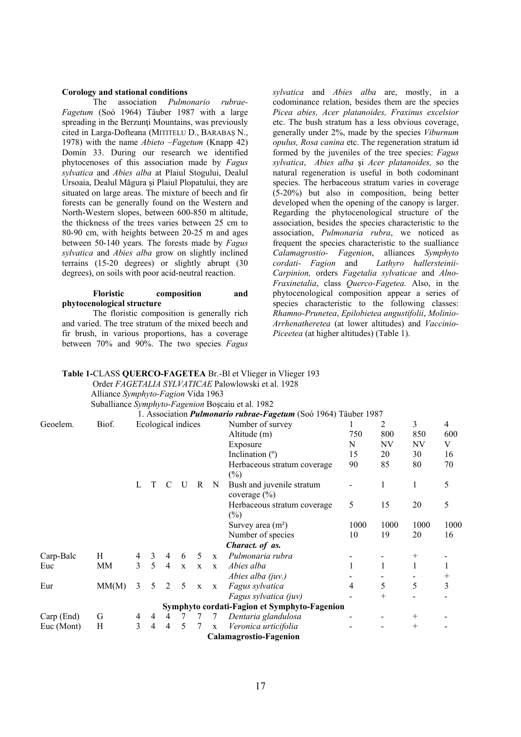## **Corology and stational conditions**

 The association *Pulmonario rubrae-Fagetum* (Soó 1964) Täuber 1987 with a large spreading in the Berzunți Mountains, was previously cited in Larga-Dofteana (MITITELU D., BARABAŞ N., 1978) with the name *Abieto –Fagetum* (Knapp 42) Domin 33. During our research we identified phytocenoses of this association made by *Fagus sylvatica* and *Abies alba* at Plaiul Stogului, Dealul Ursoaia, Dealul Măgura şi Plaiul Plopatului, they are situated on large areas. The mixture of beech and fir forests can be generally found on the Western and North-Western slopes, between 600-850 m altitude, the thickness of the trees varies between 25 cm to 80-90 cm, with heights between 20-25 m and ages between 50-140 years. The forests made by *Fagus sylvatica* and *Abies alba* grow on slightly inclined terrains (15-20 degrees) or slightly abrupt (30 degrees), on soils with poor acid-neutral reaction.

# **Floristic composition and phytocenological structure**

 The floristic composition is generally rich and varied. The tree stratum of the mixed beech and fir brush, in various proportions, has a coverage between 70% and 90%. The two species *Fagus*  *sylvatica* and *Abies alba* are, mostly, in a codominance relation, besides them are the species *Picea abies, Acer platanoides, Fraxinus excelsior*  etc. The bush stratum has a less obvious coverage, generally under 2%, made by the species *Viburnum opulus, Rosa canina* etc. The regeneration stratum id formed by the juveniles of the tree species: *Fagus sylvatica*, *Abies alba* şi *Acer platanoides,* so the natural regeneration is useful in both codominant species. The herbaceous stratum varies in coverage (5-20%) but also in composition, being better developed when the opening of the canopy is larger. Regarding the phytocenological structure of the association, besides the species characteristic to the association, *Pulmonaria rubra*, we noticed as frequent the species characteristic to the sualliance *Calamagrostio- Fagenion*, alliances *Symphyto cordati- Fagion* and *Lathyro hallersteinii-Carpinion,* orders *Fagetalia sylvaticae* and *Alno-Fraxinetalia*, class *Querco-Fagetea.* Also, in the phytocenological composition appear a series of species characteristic to the following classes: *Rhamno-Prunetea*, *Epilobietea angustifolii*, *Molinio-Arrhenatheretea* (at lower altitudes) and *Vaccinio-Piceetea* (at higher altitudes) (Table 1).

# **Table 1-**CLASS **QUERCO-FAGETEA** Br.-Bl et Vlieger in Vlieger 193

Order *FAGETALIA SYLVATICAE* Palowlowski et al. 1928

 Alliance *Symphyto-Fagion* Vida 1963 Suballiance *Symphyto-Fagenion* Boşcaiu et al. 1982

|            |       |                    |                |                |              |              |              | 1. Association <i>Pulmonario rubrae-Fagetum</i> (Soó 1964) Täuber 1987 |      |      |        |                |
|------------|-------|--------------------|----------------|----------------|--------------|--------------|--------------|------------------------------------------------------------------------|------|------|--------|----------------|
| Geoelem.   | Biof. | Ecological indices |                |                |              |              |              | Number of survey                                                       |      | 2    | 3      | $\overline{4}$ |
|            |       |                    |                |                |              |              |              | Altitude (m)                                                           | 750  | 800  | 850    | 600            |
|            |       |                    |                |                |              |              |              | Exposure                                                               | N    | NV   | NV     | V              |
|            |       |                    |                |                |              |              |              | Inclination $(°)$                                                      | 15   | 20   | 30     | 16             |
|            |       |                    |                |                |              |              |              | Herbaceous stratum coverage<br>$(\%)$                                  | 90   | 85   | 80     | 70             |
|            |       | L                  | T              |                | U            | R            | N            | Bush and juvenile stratum<br>coverage $(\% )$                          |      | 1    | 1      | 5              |
|            |       |                    |                |                |              |              |              | Herbaceous stratum coverage<br>$(\%)$                                  | 5    | 15   | 20     | 5              |
|            |       |                    |                |                |              |              |              | Survey area $(m2)$                                                     | 1000 | 1000 | 1000   | 1000           |
|            |       |                    |                |                |              |              |              | Number of species                                                      | 10   | 19   | 20     | 16             |
|            |       |                    |                |                |              |              |              | Charact. of as.                                                        |      |      |        |                |
| Carp-Balc  | H     | 4                  | 3              | 4              | 6            | 5            | $\mathbf{x}$ | Pulmonaria rubra                                                       |      |      | $^{+}$ |                |
| Euc        | MМ    | 3                  | 5              | $\overline{4}$ | $\mathbf{x}$ | $\mathbf X$  | $\mathbf{X}$ | Abies alba                                                             |      |      |        |                |
|            |       |                    |                |                |              |              |              | Abies alba (juv.)                                                      |      |      |        |                |
| Eur        | MM(M) | 3                  | 5              | 2              | 5            | $\mathbf{x}$ | $\mathbf{X}$ | Fagus sylvatica                                                        | 4    | 5    | 5      | 3              |
|            |       |                    |                |                |              |              |              | Fagus sylvatica (juv)                                                  |      | $^+$ |        |                |
|            |       |                    |                |                |              |              |              | Symphyto cordati-Fagion et Symphyto-Fagenion                           |      |      |        |                |
| Carp (End) | G     | 4                  | 4              | 4              |              |              | 7            | Dentaria glandulosa                                                    |      |      | $^{+}$ |                |
| Euc (Mont) | Η     | 3                  | $\overline{4}$ | $\overline{4}$ | 5            | 7            | $\mathbf X$  | Veronica urticifolia                                                   |      |      | $^{+}$ |                |
|            |       |                    |                |                |              |              |              | <b>Calamagrostio-Fagenion</b>                                          |      |      |        |                |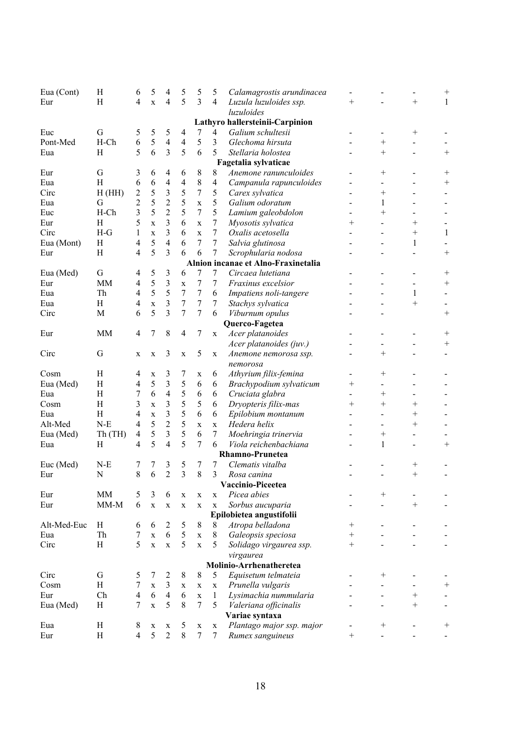| Eua (Cont)  | H                    | 6                       | 5            | 4                        | 5                       | 5                | 5                 | Calamagrostis arundinacea           |                    |                |                    | $^+$         |  |
|-------------|----------------------|-------------------------|--------------|--------------------------|-------------------------|------------------|-------------------|-------------------------------------|--------------------|----------------|--------------------|--------------|--|
| Eur         | H                    | $\overline{4}$          | $\mathbf x$  | 4                        | 5                       | 3                | $\overline{4}$    | Luzula luzuloides ssp.              | $^{+}$             |                | $^{+}$             | $\mathbf{1}$ |  |
|             |                      |                         |              |                          |                         |                  |                   | luzuloides                          |                    |                |                    |              |  |
|             |                      |                         |              |                          |                         |                  |                   | Lathyro hallersteinii-Carpinion     |                    |                |                    |              |  |
| Euc         | $\mathbf G$          | 5                       | 5            | 5                        | 4                       | $\tau$           | 4                 | Galium schultesii                   |                    |                | $\hspace{0.1mm} +$ |              |  |
| Pont-Med    | H-Ch                 | 6                       | 5            | $\overline{\mathcal{L}}$ | $\overline{4}$          | 5                | 3                 | Glechoma hirsuta                    |                    | $^{+}$         |                    |              |  |
| Eua         | H                    | 5                       | 6            | $\overline{3}$           | 5                       | 6                | 5                 | Stellaria holostea                  |                    | $^{+}$         |                    | $^{+}$       |  |
|             | Fagetalia sylvaticae |                         |              |                          |                         |                  |                   |                                     |                    |                |                    |              |  |
| Eur         | G                    | 3                       | 6            | 4                        | 6                       | 8                | 8                 | Anemone ranunculoides               |                    | $^{+}$         |                    | $^{+}$       |  |
| Eua         | H                    | 6                       | 6            | $\overline{4}$           | 4                       | 8                | $\overline{4}$    | Campanula rapunculoides             |                    |                |                    |              |  |
| Circ        | H(HH)                | $\overline{\mathbf{c}}$ | 5            | 3                        | 5                       | $\overline{7}$   | 5                 | Carex sylvatica                     |                    | $^+$           |                    |              |  |
| Eua         | $\mathbf G$          | $\overline{c}$          | 5            | $\overline{c}$           | 5                       | $\mathbf X$      | 5                 | Galium odoratum                     |                    | 1              |                    |              |  |
| Euc         | $H$ -Ch              | 3                       | 5            | $\overline{2}$           | 5                       | 7                | 5                 | Lamium galeobdolon                  |                    | $^{+}$         |                    |              |  |
| Eur         | H                    | 5                       | X            | 3                        | 6                       | $\mathbf X$      | 7                 | Myosotis sylvatica                  | $^{+}$             |                | $^{+}$             |              |  |
| Circ        | $H-G$                | $\mathbf{1}$            | X            | 3                        | 6                       | $\mathbf X$      | $\boldsymbol{7}$  | Oxalis acetosella                   |                    |                | $^{+}$             | $\mathbf{1}$ |  |
| Eua (Mont)  | H                    | 4                       | 5            | 4                        | 6                       | 7                | $\boldsymbol{7}$  | Salvia glutinosa                    |                    |                | 1                  |              |  |
| Eur         | H                    | 4                       | 5            | 3                        | 6                       | 6                | $\tau$            | Scrophularia nodosa                 |                    |                |                    | $^{+}$       |  |
|             |                      |                         |              |                          |                         |                  |                   | Alnion incanae et Alno-Fraxinetalia |                    |                |                    |              |  |
| Eua (Med)   | G                    | 4                       | 5            | 3                        | 6                       | 7                | 7                 | Circaea lutetiana                   |                    |                |                    | $^{+}$       |  |
| Eur         | <b>MM</b>            |                         | 5            | 3                        |                         | 7                |                   | Fraxinus excelsior                  |                    |                |                    | $^{+}$       |  |
|             |                      | 4                       |              | 5                        | $\mathbf X$             |                  | 7                 |                                     |                    |                |                    |              |  |
| Eua         | Th                   | 4                       | 5            | 3                        | 7                       | 7                | 6                 | Impatiens noli-tangere              |                    |                | 1                  |              |  |
| Eua         | H                    | 4                       | $\mathbf X$  |                          | $\boldsymbol{7}$        | $\boldsymbol{7}$ | 7                 | Stachys sylvatica                   |                    |                | $^{+}$             |              |  |
| Circ        | M                    | 6                       | 5            | 3                        | 7                       | 7                | 6                 | Viburnum opulus                     |                    |                |                    | $^{+}$       |  |
|             |                      |                         |              |                          |                         |                  |                   | Querco-Fagetea                      |                    |                |                    |              |  |
| Eur         | <b>MM</b>            | $\overline{4}$          | 7            | 8                        | $\overline{4}$          | 7                | $\mathbf X$       | Acer platanoides                    |                    |                |                    | $^{+}$       |  |
|             |                      |                         |              |                          |                         |                  |                   | Acer platanoides (juv.)             |                    |                |                    | $^{+}$       |  |
| Circ        | G                    | X                       | X            | 3                        | $\mathbf X$             | 5                | $\mathbf X$       | Anemone nemorosa ssp.               |                    | $^{+}$         |                    |              |  |
|             |                      |                         |              |                          |                         |                  |                   | nemorosa                            |                    |                |                    |              |  |
| Cosm        | H                    | 4                       | X            | 3                        | 7                       | $\mathbf X$      | 6                 | Athyrium filix-femina               |                    | $\overline{+}$ |                    |              |  |
| Eua (Med)   | H                    | 4                       | 5            | 3                        | 5                       | 6                | 6                 | Brachypodium sylvaticum             | $\hspace{0.1mm} +$ |                |                    |              |  |
| Eua         | H                    | 7                       | 6            | 4                        | 5                       | 6                | 6                 | Cruciata glabra                     |                    | $^+$           |                    |              |  |
| Cosm        | H                    | 3                       | X            | 3                        | 5                       | 5                | 6                 | Dryopteris filix-mas                | $\hspace{0.1mm} +$ | $^+$           | $^{+}$             |              |  |
| Eua         | H                    | 4                       | X            | 3                        | 5                       | 6                | 6                 | Epilobium montanum                  |                    |                | $^{+}$             |              |  |
| Alt-Med     | $N-E$                | $\overline{\mathbf{4}}$ | 5            | $\overline{2}$           | 5                       | $\mathbf X$      | $\mathbf X$       | Hedera helix                        |                    |                | $^{+}$             |              |  |
| Eua (Med)   | Th(TH)               | $\overline{4}$          | 5            | 3                        | 5                       | 6                | $\tau$            | Moehringia trinervia                |                    | $^{+}$         |                    |              |  |
| Eua         | H                    | $\overline{4}$          | 5            | 4                        | 5                       | 7                | 6                 | Viola reichenbachiana               |                    | 1              |                    | $^{+}$       |  |
|             |                      |                         |              |                          |                         |                  |                   | Rhamno-Prunetea                     |                    |                |                    |              |  |
| Euc (Med)   | $N-E$                | 7                       |              | 3                        | 5                       | 7                | 7                 | Clematis vitalba                    |                    |                | $\hspace{0.1mm} +$ |              |  |
| Eur         | N                    | $\,$ 8 $\,$             | 6            | $\overline{c}$           | $\overline{\mathbf{3}}$ | 8                | 3                 | Rosa canina                         |                    |                | $^{+}$             |              |  |
|             |                      |                         |              |                          |                         |                  |                   | Vaccinio-Piceetea                   |                    |                |                    |              |  |
| Eur         | <b>MM</b>            | 5                       | 3            | 6                        | $\mathbf X$             | $\mathbf X$      | $\mathbf X$       | Picea abies                         |                    | $^{+}$         |                    |              |  |
| Eur         | $MM-M$               | 6                       | $\mathbf X$  | $\mathbf X$              | $\mathbf X$             | $\mathbf X$      | $\mathbf X$       | Sorbus aucuparia                    |                    |                | $^{+}$             |              |  |
|             |                      |                         |              |                          |                         |                  |                   | Epilobietea angustifolii            |                    |                |                    |              |  |
| Alt-Med-Euc | H                    | 6                       | 6            | 2                        | 5                       | 8                | 8                 | Atropa belladona                    | $\hspace{0.1mm} +$ |                |                    |              |  |
| Eua         | Th                   | 7                       | $\mathbf X$  | 6                        | 5                       | $\mathbf X$      | 8                 | Galeopsis speciosa                  | $^{+}$             |                |                    |              |  |
| Circ        | H                    | 5                       | $\mathbf X$  | $\mathbf X$              | 5                       | $\mathbf{X}$     | 5                 | Solidago virgaurea ssp.             | $^{+}$             |                |                    |              |  |
|             |                      |                         |              |                          |                         |                  |                   | virgaurea                           |                    |                |                    |              |  |
|             |                      |                         |              |                          |                         |                  |                   | Molinio-Arrhenatheretea             |                    |                |                    |              |  |
| Circ        | G                    | 5                       | 7            | 2                        | $8\,$                   | $\,$ 8 $\,$      | 5                 | Equisetum telmateia                 |                    | $^{+}$         |                    |              |  |
| Cosm        | $\, {\rm H}$         | 7                       |              | 3                        |                         |                  |                   |                                     |                    |                |                    |              |  |
|             |                      |                         | $\mathbf X$  |                          | X                       | $\mathbf X$      | $\mathbf X$       | Prunella vulgaris                   |                    |                |                    |              |  |
| Eur         | Ch                   | $\overline{4}$          | 6            | $\overline{4}$           | 6                       | $\mathbf X$      | $\mathbf{1}$<br>5 | Lysimachia nummularia               |                    |                | $^{+}$             |              |  |
| Eua (Med)   | H                    | 7                       | $\mathbf{x}$ | 5                        | $\,$ 8 $\,$             | $\overline{7}$   |                   | Valeriana officinalis               |                    |                | $^{+}$             |              |  |
|             |                      |                         |              |                          |                         |                  |                   | Variae syntaxa                      |                    |                |                    |              |  |
| Eua         | H                    | 8                       | X            | X                        | 5                       | $\mathbf X$      | X                 | Plantago major ssp. major           |                    | $^{+}$         |                    | $^{+}$       |  |
| Eur         | $\rm H$              | $\overline{4}$          | 5            | $\overline{2}$           | $8\,$                   | $\tau$           | $\tau$            | Rumex sanguineus                    | $\hspace{0.1mm} +$ |                |                    |              |  |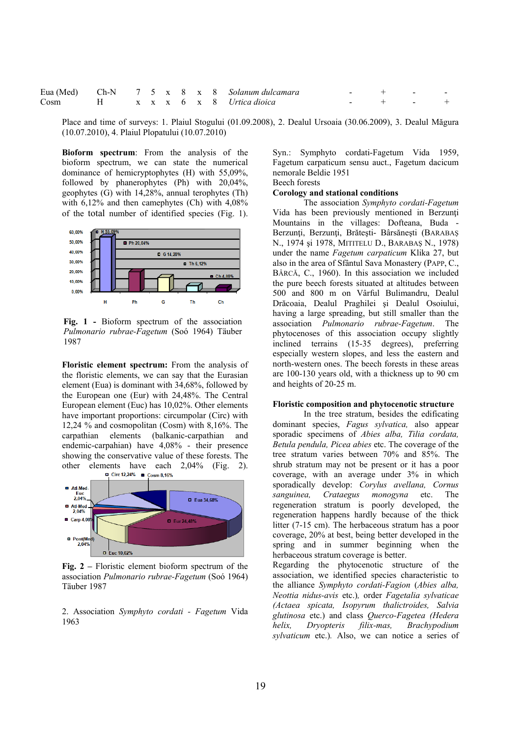|                                  |  |  |  | Eua (Med) Ch-N 7 5 x 8 x 8 Solanum dulcamara | アンディー・エヌ サービス きょうしょう |  |
|----------------------------------|--|--|--|----------------------------------------------|----------------------|--|
| Cosm H x x x 6 x 8 Urtica dioica |  |  |  |                                              | $ +$ $ +$            |  |

Place and time of surveys: 1. Plaiul Stogului (01.09.2008), 2. Dealul Ursoaia (30.06.2009), 3. Dealul Măgura (10.07.2010), 4. Plaiul Plopatului (10.07.2010)

**Bioform spectrum**: From the analysis of the bioform spectrum, we can state the numerical dominance of hemicryptophytes (H) with 55,09%, followed by phanerophytes (Ph) with 20,04%, geophytes (G) with 14,28%, annual terophytes (Th) with 6,12% and then camephytes (Ch) with 4,08% of the total number of identified species (Fig. 1).



**Fig. 1 -** Bioform spectrum of the association *Pulmonario rubrae-Fagetum* (Soó 1964) Täuber 1987

**Floristic element spectrum:** From the analysis of the floristic elements, we can say that the Eurasian element (Eua) is dominant with 34,68%, followed by the European one (Eur) with 24,48%. The Central European element (Euc) has 10,02%. Other elements have important proportions: circumpolar (Circ) with 12,24 % and cosmopolitan (Cosm) with 8,16%. The carpathian elements (balkanic-carpathian and endemic-carpahian) have 4,08% - their presence showing the conservative value of these forests. The other elements have each  $2,04\%$  (Fig. 2).



**Fig. 2 –** Floristic element bioform spectrum of the association *Pulmonario rubrae-Fagetum* (Soó 1964) Täuber 1987

2. Association *Symphyto cordati - Fagetum* Vida 1963

Syn.: Symphyto cordati-Fagetum Vida 1959, Fagetum carpaticum sensu auct., Fagetum dacicum nemorale Beldie 1951 Beech forests

# **Corology and stational conditions**

 The association *Symphyto cordati-Fagetum* Vida has been previously mentioned in Berzunţi Mountains in the villages: Dofteana, Buda - Berzunți, Berzunți, Brătești- Bârsănești (BARABAŞ N., 1974 şi 1978, MITITELU D., BARABAŞ N., 1978) under the name *Fagetum carpaticum* Klika 27, but also in the area of Sfântul Sava Monastery (PAPP, C., BÂRCĂ, C., 1960). In this association we included the pure beech forests situated at altitudes between 500 and 800 m on Vârful Bulimandru, Dealul Drăcoaia, Dealul Praghilei şi Dealul Osoiului, having a large spreading, but still smaller than the association *Pulmonario rubrae-Fagetum*. The phytocenoses of this association occupy slightly inclined terrains (15-35 degrees), preferring especially western slopes, and less the eastern and north-western ones. The beech forests in these areas are 100-130 years old, with a thickness up to 90 cm and heights of 20-25 m.

## **Floristic composition and phytocenotic structure**

 In the tree stratum, besides the edificating dominant species, *Fagus sylvatica,* also appear sporadic specimens of *Abies alba, Tilia cordata, Betula pendula, Picea abies* etc. The coverage of the tree stratum varies between 70% and 85%. The shrub stratum may not be present or it has a poor coverage, with an average under 3% in which sporadically develop: *Corylus avellana, Cornus sanguinea, Crataegus monogyna* etc. The regeneration stratum is poorly developed, the regeneration happens hardly because of the thick litter (7-15 cm). The herbaceous stratum has a poor coverage, 20% at best, being better developed in the spring and in summer beginning when the herbaceous stratum coverage is better.

Regarding the phytocenotic structure of the association, we identified species characteristic to the alliance *Symphyto cordati-Fagion* (*Abies alba, Neottia nidus-avis* etc.)*,* order *Fagetalia sylvaticae (Actaea spicata, Isopyrum thalictroides, Salvia glutinosa* etc.) and class *Querco-Fagetea (Hedera helix, Dryopteris filix-mas, Brachypodium sylvaticum* etc.)*.* Also, we can notice a series of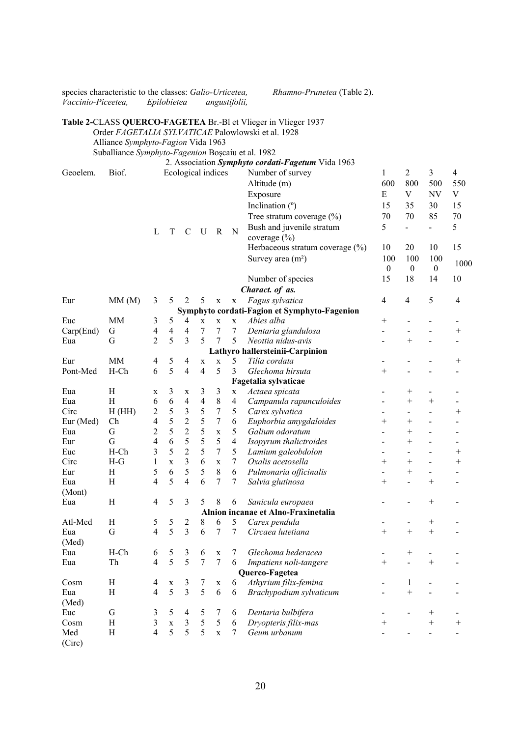| species characteristic to the classes: Galio-Urticetea,<br>Vaccinio-Piceetea, |                                                   | Epilobietea             |             |                         |                |                  | angustifolii,  | Rhamno-Prunetea (Table 2).                                     |                              |                          |                          |                           |
|-------------------------------------------------------------------------------|---------------------------------------------------|-------------------------|-------------|-------------------------|----------------|------------------|----------------|----------------------------------------------------------------|------------------------------|--------------------------|--------------------------|---------------------------|
|                                                                               |                                                   |                         |             |                         |                |                  |                | Table 2-CLASS QUERCO-FAGETEA Br.-Bl et Vlieger in Vlieger 1937 |                              |                          |                          |                           |
|                                                                               |                                                   |                         |             |                         |                |                  |                | Order FAGETALIA SYLVATICAE Palowlowski et al. 1928             |                              |                          |                          |                           |
|                                                                               | Alliance Symphyto-Fagion Vida 1963                |                         |             |                         |                |                  |                |                                                                |                              |                          |                          |                           |
|                                                                               |                                                   |                         |             |                         |                |                  |                |                                                                |                              |                          |                          |                           |
|                                                                               | Suballiance Symphyto-Fagenion Boșcaiu et al. 1982 |                         |             |                         |                |                  |                |                                                                |                              |                          |                          |                           |
|                                                                               |                                                   |                         |             |                         |                |                  |                | 2. Association Symphyto cordati-Fagetum Vida 1963              |                              |                          |                          |                           |
| Geoelem.                                                                      | Biof.                                             |                         |             | Ecological indices      |                |                  |                | Number of survey                                               | 1                            | 2                        | 3                        |                           |
|                                                                               |                                                   |                         |             |                         |                |                  |                | Altitude (m)                                                   | 600                          | 800                      | 500                      |                           |
|                                                                               |                                                   |                         |             |                         |                |                  |                | Exposure                                                       | E                            | V                        | NV                       | $\boldsymbol{\mathrm{V}}$ |
|                                                                               |                                                   |                         |             |                         |                |                  |                | Inclination $(°)$                                              | 15                           | 35                       | 30                       |                           |
|                                                                               |                                                   |                         |             |                         |                |                  |                | Tree stratum coverage (%)                                      | 70                           | 70                       | 85                       |                           |
|                                                                               |                                                   |                         |             |                         |                |                  |                | Bush and juvenile stratum                                      | 5                            | $\overline{a}$           | $\overline{a}$           | 70                        |
|                                                                               |                                                   | L                       | T           | $\mathsf{C}$            | U              | $\mathbf R$      | N              |                                                                |                              |                          |                          |                           |
|                                                                               |                                                   |                         |             |                         |                |                  |                | coverage $(\% )$                                               |                              |                          |                          |                           |
|                                                                               |                                                   |                         |             |                         |                |                  |                | Herbaceous stratum coverage (%)                                | 10                           | 20                       | 10                       | 15                        |
|                                                                               |                                                   |                         |             |                         |                |                  |                | Survey area $(m2)$                                             | 100<br>$\boldsymbol{0}$      | 100<br>$\boldsymbol{0}$  | 100<br>$\boldsymbol{0}$  |                           |
|                                                                               |                                                   |                         |             |                         |                |                  |                | Number of species                                              | 15                           | 18                       | 14                       |                           |
|                                                                               |                                                   |                         |             |                         |                |                  |                | Charact. of as.                                                |                              |                          |                          |                           |
| Eur                                                                           | MM(M)                                             | 3                       | 5           | 2                       | 5              | $\mathbf X$      | $\mathbf X$    | Fagus sylvatica                                                | $\overline{\mathcal{A}}$     | 4                        | 5                        |                           |
|                                                                               |                                                   |                         |             |                         |                |                  |                | Symphyto cordati-Fagion et Symphyto-Fagenion                   |                              |                          |                          |                           |
| Euc                                                                           | <b>MM</b>                                         | 3                       | 5           | 4                       | $\mathbf X$    | $\mathbf X$      | $\mathbf X$    | Abies alba                                                     | $^{+}$                       |                          |                          |                           |
| Carp(End)                                                                     | G                                                 | $\overline{\mathbf{4}}$ | 4           | 4                       | 7              | $\overline{7}$   | $\overline{7}$ | Dentaria glandulosa                                            | $\overline{a}$               |                          |                          |                           |
| Eua                                                                           | G                                                 | $\overline{2}$          | 5           | 3                       | 5              | 7                | 5              | Neottia nidus-avis                                             |                              | $^{+}$                   | $\overline{a}$           |                           |
|                                                                               |                                                   |                         |             |                         |                |                  |                | Lathyro hallersteinii-Carpinion                                |                              |                          |                          |                           |
| Eur                                                                           | MM                                                | 4                       | 5           | 4                       | $\mathbf X$    | $\mathbf X$      | 5              | Tilia cordata                                                  | $\qquad \qquad \blacksquare$ |                          |                          |                           |
| Pont-Med                                                                      | $H$ -Ch                                           | 6                       | 5           | $\overline{4}$          | $\overline{4}$ | 5                | 3              | Glechoma hirsuta                                               | $^{+}$                       |                          |                          |                           |
|                                                                               |                                                   |                         |             |                         |                |                  |                |                                                                |                              |                          |                          |                           |
|                                                                               |                                                   |                         |             |                         |                |                  |                | Fagetalia sylvaticae                                           |                              |                          |                          |                           |
| Eua                                                                           | H                                                 | X                       | 3           | $\mathbf X$             | 3              | 3                | $\mathbf X$    | Actaea spicata                                                 |                              | $^+$                     |                          |                           |
| Eua                                                                           | H                                                 | 6                       | $\sqrt{6}$  | $\overline{\mathbf{4}}$ | $\overline{4}$ | $\,$ $\,$        | $\overline{4}$ | Campanula rapunculoides                                        |                              | $+$                      | $^{+}$                   |                           |
| Circ                                                                          | H(HH)                                             | $\overline{\mathbf{c}}$ | 5           | $\mathfrak{Z}$          | 5              | 7                | $\mathfrak s$  | Carex sylvatica                                                |                              | $\overline{\phantom{0}}$ | $\overline{a}$           |                           |
| Eur (Med)                                                                     | Ch                                                | $\overline{4}$          | 5           | $\overline{c}$          | 5              | $\boldsymbol{7}$ | $\sqrt{6}$     | Euphorbia amygdaloides                                         | $^{+}$                       | $^{+}$                   |                          |                           |
| Eua                                                                           | G                                                 | $\overline{c}$          | 5           | $\overline{c}$          | 5              | $\mathbf X$      | 5              | Galium odoratum                                                |                              | $^{+}$                   |                          |                           |
| Eur                                                                           | G                                                 | $\overline{4}$          | 6           | 5                       | 5              | 5                | $\overline{4}$ | Isopyrum thalictroides                                         |                              | $\! + \!\!\!\!$          |                          |                           |
| Euc                                                                           | $H$ -Ch                                           | 3                       | 5           | $\overline{2}$          | 5              | $\tau$           | 5              | Lamium galeobdolon                                             | $\overline{\phantom{a}}$     |                          |                          |                           |
| Circ                                                                          | $H-G$                                             | $\mathbf{1}$            | X           | 3                       | 6              | $\mathbf X$      | 7              | Oxalis acetosella                                              | $^{+}$                       | $^{+}$                   |                          |                           |
| Eur                                                                           | H                                                 | 5                       | 6           | 5                       | 5              | 8                | 6              | Pulmonaria officinalis                                         |                              | $^{+}$                   |                          |                           |
| Eua                                                                           | H                                                 | 4                       | 5           | 4                       | 6              | $\overline{7}$   |                | Salvia glutinosa                                               | $^+$                         |                          | $^+$                     |                           |
| (Mont)                                                                        |                                                   |                         |             |                         |                |                  |                |                                                                |                              |                          |                          |                           |
| Eua                                                                           | $\, {\rm H}$                                      | $\overline{4}$          | 5           | 3                       | 5              | 8                | 6              | Sanicula europaea                                              |                              |                          | $^{+}$                   |                           |
|                                                                               |                                                   |                         |             |                         |                |                  |                | Alnion incanae et Alno-Fraxinetalia                            |                              |                          |                          |                           |
| Atl-Med                                                                       | H                                                 | $\mathfrak s$           | 5           | $\overline{c}$          | 8              | 6                | 5              | Carex pendula                                                  |                              |                          | $\boldsymbol{+}$         |                           |
| Eua                                                                           | $\mathbf G$                                       | $\overline{4}$          | 5           | 3                       | 6              | $\overline{7}$   | 7              | Circaea lutetiana                                              | $+$                          | $+$                      | $\ddot{}$                |                           |
| (Med)                                                                         |                                                   |                         |             |                         |                |                  |                |                                                                |                              |                          |                          |                           |
|                                                                               | $H$ -Ch                                           |                         |             |                         |                |                  |                |                                                                |                              |                          |                          |                           |
| Eua                                                                           |                                                   | 6                       | 5           | $\mathfrak{Z}$          | 6              | $\mathbf X$      | 7              | Glechoma hederacea                                             |                              | $^{+}$                   | $\overline{a}$           |                           |
| Eua                                                                           | Th                                                | $\overline{\mathbf{4}}$ | 5           | 5                       | $\overline{7}$ | $\overline{7}$   | 6              | Impatiens noli-tangere                                         | $^{+}$                       |                          | $^{+}$                   |                           |
|                                                                               |                                                   |                         |             |                         |                |                  |                | Querco-Fagetea                                                 |                              |                          |                          |                           |
| Cosm                                                                          | H                                                 | $\overline{4}$          | $\mathbf X$ | 3                       | 7              | $\mathbf X$      | 6              | Athyrium filix-femina                                          |                              | 1                        | $\overline{\phantom{a}}$ |                           |
| Eua                                                                           | $\, {\rm H}$                                      | $\overline{4}$          | 5           | 3                       | 5              | 6                | 6              | Brachypodium sylvaticum                                        |                              | $^{+}$                   |                          |                           |
| (Med)                                                                         |                                                   |                         |             |                         |                |                  |                |                                                                |                              |                          |                          |                           |
| Euc                                                                           | G                                                 | 3                       | 5           | 4                       | 5              | $\tau$           | 6              | Dentaria bulbifera                                             |                              |                          | $^{+}$                   |                           |
| Cosm                                                                          | H                                                 | $\mathfrak{Z}$          | $\mathbf X$ | 3                       | 5              | 5                | 6              | Dryopteris filix-mas                                           | $^{+}$                       |                          | $+$                      |                           |
| Med<br>(Circ)                                                                 | H                                                 | $\overline{4}$          | 5           | 5                       | 5              | $\mathbf X$      | $\tau$         | Geum urbanum                                                   |                              |                          |                          |                           |

20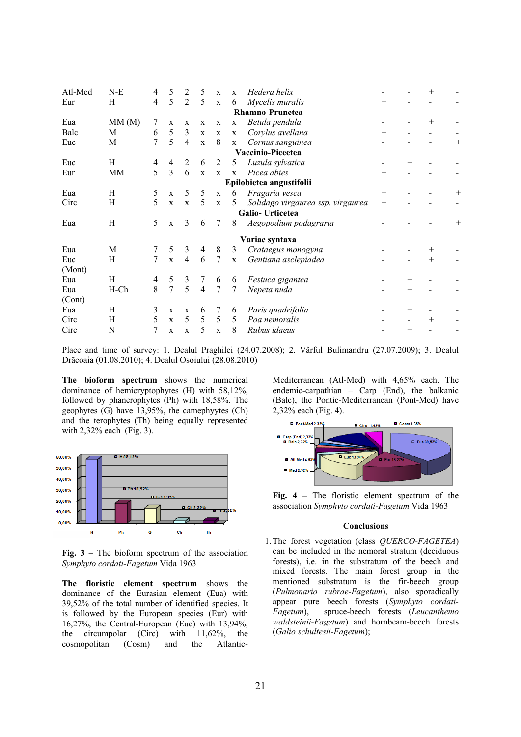| Atl-Med | $N-E$   | 4              | 5              | 2              | 5              | $\mathbf X$  | $\mathbf x$  | Hedera helix                      |        |                |      |        |
|---------|---------|----------------|----------------|----------------|----------------|--------------|--------------|-----------------------------------|--------|----------------|------|--------|
| Eur     | H       | $\overline{4}$ | 5              | $\overline{2}$ | 5              | $\mathbf X$  | 6            | Mycelis muralis                   | $^+$   |                |      |        |
|         |         |                |                |                |                |              |              | Rhamno-Prunetea                   |        |                |      |        |
| Eua     | MM(M)   | 7              | $\mathbf X$    | $\mathbf{X}$   | $\mathbf x$    | $\mathbf X$  | $\mathbf X$  | Betula pendula                    |        |                |      |        |
| Balc    | М       | 6              | 5              | 3              | $\mathbf X$    | $\mathbf{X}$ | $\mathbf X$  | Corylus avellana                  | $^+$   |                |      |        |
| Euc     | М       | 7              | 5              | $\overline{4}$ | $\mathbf{X}$   | 8            | X            | Cornus sanguinea                  |        |                |      | $^{+}$ |
|         |         |                |                |                |                |              |              | Vaccinio-Piceetea                 |        |                |      |        |
| Euc     | H       | 4              | $\overline{4}$ | 2              | 6              | 2            | 5            | Luzula sylvatica                  |        | $^+$           |      |        |
| Eur     | MM      | 5              | 3              | 6              | $\mathbf{x}$   | $\mathbf{x}$ | $\mathbf{x}$ | Picea abies                       | $^{+}$ |                |      |        |
|         |         |                |                |                |                |              |              | Epilobietea angustifolii          |        |                |      |        |
| Eua     | H       | 5              | $\mathbf x$    | 5              | 5              | $\mathbf{X}$ | 6            | Fragaria vesca                    | $^+$   |                |      | $\pm$  |
| Circ    | Η       | 5              | $\mathbf X$    | $\mathbf{x}$   | 5              | $\mathbf X$  | 5            | Solidago virgaurea ssp. virgaurea | $^{+}$ |                |      |        |
|         |         |                |                |                |                |              |              | Galio-Urticetea                   |        |                |      |        |
| Eua     | H       | 5              | $\mathbf X$    | 3              | 6              | 7            | 8            | Aegopodium podagraria             |        |                |      | $^+$   |
|         |         |                |                |                |                |              |              | Variae syntaxa                    |        |                |      |        |
| Eua     | M       |                | 5              | 3              | 4              | $\,8\,$      | 3            | Crataegus monogyna                |        |                | ┿    |        |
| Euc     | Η       | $\tau$         | $\mathbf X$    | $\overline{4}$ | 6              | 7            | $\mathbf X$  | Gentiana asclepiadea              |        |                | $^+$ |        |
| (Mont)  |         |                |                |                |                |              |              |                                   |        |                |      |        |
| Eua     | H       | 4              | 5              | 3              | $\tau$         | 6            | 6            | Festuca gigantea                  |        | $^+$           |      |        |
| Eua     | $H$ -Ch | 8              | 7              | 5              | $\overline{4}$ | 7            | 7            | Nepeta nuda                       |        | $^+$           |      |        |
| (Cont)  |         |                |                |                |                |              |              |                                   |        |                |      |        |
| Eua     | H       | 3              | X              | $\mathbf X$    | 6              | 7            | 6            | Paris quadrifolia                 |        | $^+$           |      |        |
| Circ    | H       | 5              | $\mathbf X$    | 5              | 5              | 5            | 5            | Poa nemoralis                     |        |                | $^+$ |        |
| Circ    | N       | 7              | X              | X              | 5              | $\mathbf X$  | 8            | Rubus idaeus                      |        | $\overline{+}$ |      |        |
|         |         |                |                |                |                |              |              |                                   |        |                |      |        |

Place and time of survey: 1. Dealul Praghilei (24.07.2008); 2. Vârful Bulimandru (27.07.2009); 3. Dealul Drăcoaia (01.08.2010); 4. Dealul Osoiului (28.08.2010)

**The bioform spectrum** shows the numerical dominance of hemicryptophytes (H) with 58,12%, followed by phanerophytes (Ph) with 18,58%. The geophytes (G) have 13,95%, the camephyytes (Ch) and the terophytes (Th) being equally represented with 2,32% each (Fig. 3).



**Fig. 3 –** The bioform spectrum of the association *Symphyto cordati-Fagetum* Vida 1963

**The floristic element spectrum** shows the dominance of the Eurasian element (Eua) with 39,52% of the total number of identified species. It is followed by the European species (Eur) with 16,27%, the Central-European (Euc) with 13,94%, the circumpolar (Circ) with 11,62%, the cosmopolitan (Cosm) and the AtlanticMediterranean (Atl-Med) with 4,65% each. The endemic-carpathian – Carp (End), the balkanic (Balc), the Pontic-Mediterranean (Pont-Med) have 2,32% each (Fig. 4).



**Fig. 4 –** The floristic element spectrum of the association *Symphyto cordati-Fagetum* Vida 1963

### **Conclusions**

1.The forest vegetation (class *QUERCO-FAGETEA*) can be included in the nemoral stratum (deciduous forests), i.e. in the substratum of the beech and mixed forests. The main forest group in the mentioned substratum is the fir-beech group (*Pulmonario rubrae-Fagetum*), also sporadically appear pure beech forests (*Symphyto cordati-Fagetum*), spruce-beech forests (*Leucanthemo waldsteinii-Fagetum*) and hornbeam-beech forests (*Galio schultesii-Fagetum*);